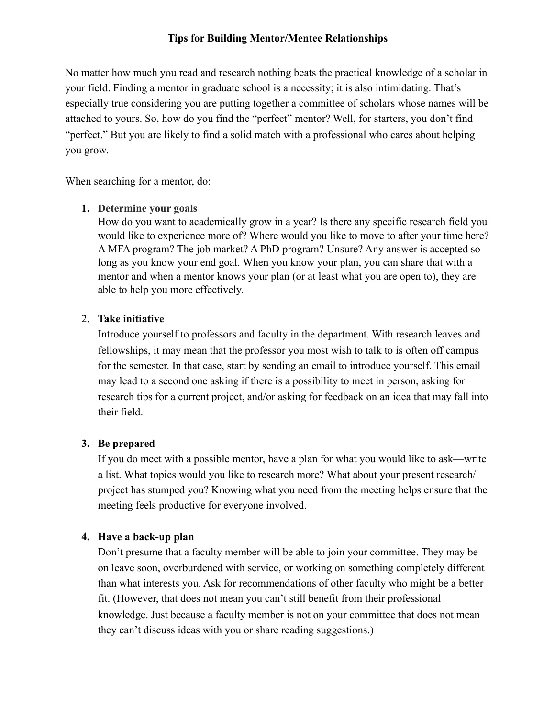# **Tips for Building Mentor/Mentee Relationships**

No matter how much you read and research nothing beats the practical knowledge of a scholar in your field. Finding a mentor in graduate school is a necessity; it is also intimidating. That's especially true considering you are putting together a committee of scholars whose names will be attached to yours. So, how do you find the "perfect" mentor? Well, for starters, you don't find "perfect." But you are likely to find a solid match with a professional who cares about helping you grow.

When searching for a mentor, do:

#### **1. Determine your goals**

How do you want to academically grow in a year? Is there any specific research field you would like to experience more of? Where would you like to move to after your time here? A MFA program? The job market? A PhD program? Unsure? Any answer is accepted so long as you know your end goal. When you know your plan, you can share that with a mentor and when a mentor knows your plan (or at least what you are open to), they are able to help you more effectively.

### 2. **Take initiative**

Introduce yourself to professors and faculty in the department. With research leaves and fellowships, it may mean that the professor you most wish to talk to is often off campus for the semester. In that case, start by sending an email to introduce yourself. This email may lead to a second one asking if there is a possibility to meet in person, asking for research tips for a current project, and/or asking for feedback on an idea that may fall into their field.

#### **3. Be prepared**

If you do meet with a possible mentor, have a plan for what you would like to ask—write a list. What topics would you like to research more? What about your present research/ project has stumped you? Knowing what you need from the meeting helps ensure that the meeting feels productive for everyone involved.

#### **4. Have a back-up plan**

Don't presume that a faculty member will be able to join your committee. They may be on leave soon, overburdened with service, or working on something completely different than what interests you. Ask for recommendations of other faculty who might be a better fit. (However, that does not mean you can't still benefit from their professional knowledge. Just because a faculty member is not on your committee that does not mean they can't discuss ideas with you or share reading suggestions.)